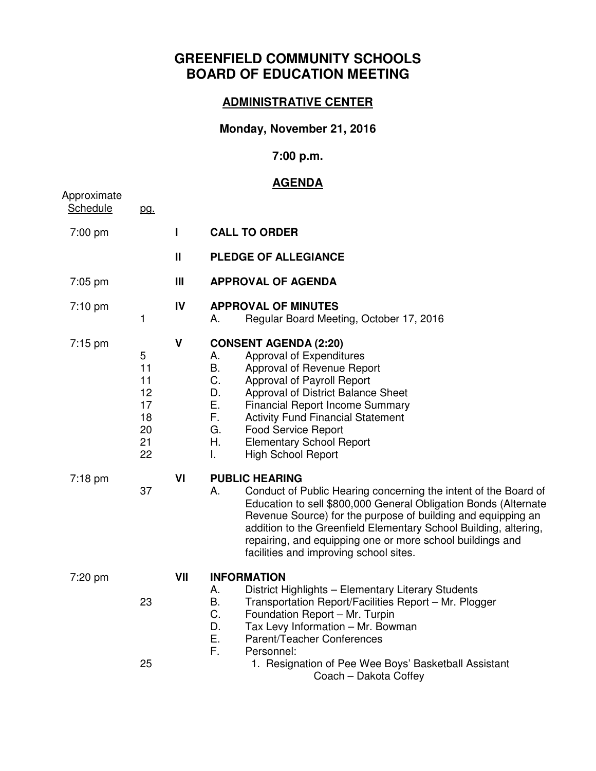# **GREENFIELD COMMUNITY SCHOOLS BOARD OF EDUCATION MEETING**

#### **ADMINISTRATIVE CENTER**

### **Monday, November 21, 2016**

### **7:00 p.m.**

## **AGENDA**

| Approximate       |                                                   |                |                                                                                                                                                                                                                                                                                                                                                                                                              |
|-------------------|---------------------------------------------------|----------------|--------------------------------------------------------------------------------------------------------------------------------------------------------------------------------------------------------------------------------------------------------------------------------------------------------------------------------------------------------------------------------------------------------------|
| Schedule          | pg.                                               |                |                                                                                                                                                                                                                                                                                                                                                                                                              |
| 7:00 pm           |                                                   | ı              | <b>CALL TO ORDER</b>                                                                                                                                                                                                                                                                                                                                                                                         |
|                   |                                                   | Ш              | <b>PLEDGE OF ALLEGIANCE</b>                                                                                                                                                                                                                                                                                                                                                                                  |
| 7:05 pm           |                                                   | $\mathbf{III}$ | <b>APPROVAL OF AGENDA</b>                                                                                                                                                                                                                                                                                                                                                                                    |
| 7:10 pm           | 1                                                 | IV             | <b>APPROVAL OF MINUTES</b><br>Regular Board Meeting, October 17, 2016<br>А.                                                                                                                                                                                                                                                                                                                                  |
| $7:15 \text{ pm}$ | 5<br>11<br>11<br>12<br>17<br>18<br>20<br>21<br>22 | V              | <b>CONSENT AGENDA (2:20)</b><br>Approval of Expenditures<br>А.<br><b>B.</b><br>Approval of Revenue Report<br>C.<br>Approval of Payroll Report<br>D.<br>Approval of District Balance Sheet<br>Ε.<br><b>Financial Report Income Summary</b><br>F.<br><b>Activity Fund Financial Statement</b><br>G.<br><b>Food Service Report</b><br>Η.<br><b>Elementary School Report</b><br><b>High School Report</b><br>I.  |
| 7:18 pm           | 37                                                | VI             | <b>PUBLIC HEARING</b><br>Conduct of Public Hearing concerning the intent of the Board of<br>А.<br>Education to sell \$800,000 General Obligation Bonds (Alternate<br>Revenue Source) for the purpose of building and equipping an<br>addition to the Greenfield Elementary School Building, altering,<br>repairing, and equipping one or more school buildings and<br>facilities and improving school sites. |
| 7:20 pm           | 23                                                | VII            | <b>INFORMATION</b><br>А.<br>District Highlights - Elementary Literary Students<br><b>B.</b><br>Transportation Report/Facilities Report - Mr. Plogger<br>C.<br>Foundation Report - Mr. Turpin<br>D.<br>Tax Levy Information - Mr. Bowman<br>Ε.<br>Parent/Teacher Conferences<br>F.<br>Personnel:                                                                                                              |
|                   | 25                                                |                | 1. Resignation of Pee Wee Boys' Basketball Assistant<br>Coach - Dakota Coffey                                                                                                                                                                                                                                                                                                                                |